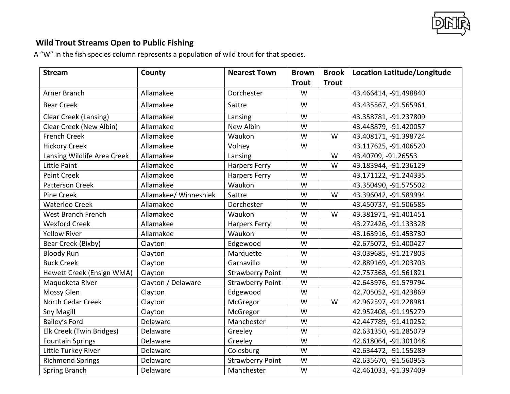

## **Wild Trout Streams Open to Public Fishing**

A "W" in the fish species column represents a population of wild trout for that species.

| <b>Stream</b>               | County                | <b>Nearest Town</b>     | <b>Brown</b> | <b>Brook</b> | <b>Location Latitude/Longitude</b> |
|-----------------------------|-----------------------|-------------------------|--------------|--------------|------------------------------------|
|                             |                       |                         | <b>Trout</b> | <b>Trout</b> |                                    |
| Arner Branch                | Allamakee             | Dorchester              | W            |              | 43.466414, -91.498840              |
| <b>Bear Creek</b>           | Allamakee             | Sattre                  | W            |              | 43.435567, -91.565961              |
| Clear Creek (Lansing)       | Allamakee             | Lansing                 | W            |              | 43.358781, -91.237809              |
| Clear Creek (New Albin)     | Allamakee             | New Albin               | W            |              | 43.448879, -91.420057              |
| <b>French Creek</b>         | Allamakee             | Waukon                  | W            | W            | 43.408171, -91.398724              |
| <b>Hickory Creek</b>        | Allamakee             | Volney                  | W            |              | 43.117625, -91.406520              |
| Lansing Wildlife Area Creek | Allamakee             | Lansing                 |              | W            | 43.40709, -91.26553                |
| Little Paint                | Allamakee             | <b>Harpers Ferry</b>    | W            | W            | 43.183944, -91.236129              |
| <b>Paint Creek</b>          | Allamakee             | <b>Harpers Ferry</b>    | W            |              | 43.171122, -91.244335              |
| <b>Patterson Creek</b>      | Allamakee             | Waukon                  | W            |              | 43.350490, -91.575502              |
| Pine Creek                  | Allamakee/ Winneshiek | Sattre                  | W            | W            | 43.396042, -91.589994              |
| <b>Waterloo Creek</b>       | Allamakee             | Dorchester              | W            |              | 43.450737, -91.506585              |
| West Branch French          | Allamakee             | Waukon                  | W            | W            | 43.381971, -91.401451              |
| <b>Wexford Creek</b>        | Allamakee             | <b>Harpers Ferry</b>    | W            |              | 43.272426, -91.133328              |
| <b>Yellow River</b>         | Allamakee             | Waukon                  | W            |              | 43.163916, -91.453730              |
| Bear Creek (Bixby)          | Clayton               | Edgewood                | W            |              | 42.675072, -91.400427              |
| <b>Bloody Run</b>           | Clayton               | Marquette               | W            |              | 43.039685, -91.217803              |
| <b>Buck Creek</b>           | Clayton               | Garnavillo              | W            |              | 42.889169, -91.203703              |
| Hewett Creek (Ensign WMA)   | Clayton               | <b>Strawberry Point</b> | W            |              | 42.757368, -91.561821              |
| Maquoketa River             | Clayton / Delaware    | <b>Strawberry Point</b> | W            |              | 42.643976, -91.579794              |
| Mossy Glen                  | Clayton               | Edgewood                | W            |              | 42.705052, -91.423869              |
| North Cedar Creek           | Clayton               | McGregor                | W            | W            | 42.962597, -91.228981              |
| Sny Magill                  | Clayton               | McGregor                | W            |              | 42.952408, -91.195279              |
| Bailey's Ford               | Delaware              | Manchester              | W            |              | 42.447789, -91.410252              |
| Elk Creek (Twin Bridges)    | Delaware              | Greeley                 | W            |              | 42.631350, -91.285079              |
| <b>Fountain Springs</b>     | Delaware              | Greeley                 | W            |              | 42.618064, -91.301048              |
| Little Turkey River         | Delaware              | Colesburg               | W            |              | 42.634472, -91.155289              |
| <b>Richmond Springs</b>     | Delaware              | <b>Strawberry Point</b> | W            |              | 42.635670, -91.560953              |
| Spring Branch               | Delaware              | Manchester              | W            |              | 42.461033, -91.397409              |